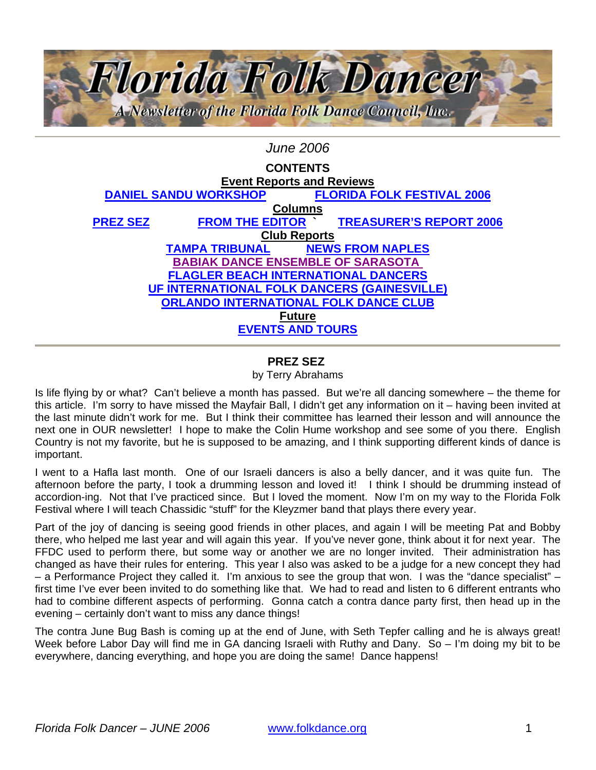<span id="page-0-0"></span>

# *June 2006*

| <b>CONTENTS</b>                                    |                        |                                   |                                |  |  |
|----------------------------------------------------|------------------------|-----------------------------------|--------------------------------|--|--|
| <b>Event Reports and Reviews</b>                   |                        |                                   |                                |  |  |
| <b>DANIEL SANDU WORKSHOP</b>                       |                        | <b>FLORIDA FOLK FESTIVAL 2006</b> |                                |  |  |
| <b>Columns</b>                                     |                        |                                   |                                |  |  |
| <b>PREZ SEZ</b>                                    | <b>FROM THE EDITOR</b> |                                   | <b>TREASURER'S REPORT 2006</b> |  |  |
| <b>Club Reports</b>                                |                        |                                   |                                |  |  |
|                                                    | <b>TAMPA TRIBUNAL</b>  |                                   | <b>NEWS FROM NAPLES</b>        |  |  |
| <b>BABIAK DANCE ENSEMBLE OF SARASOTA</b>           |                        |                                   |                                |  |  |
| <b>FLAGLER BEACH INTERNATIONAL DANCERS</b>         |                        |                                   |                                |  |  |
| <b>UF INTERNATIONAL FOLK DANCERS (GAINESVILLE)</b> |                        |                                   |                                |  |  |
| <b>ORLANDO INTERNATIONAL FOLK DANCE CLUB</b>       |                        |                                   |                                |  |  |
| <b>Future</b>                                      |                        |                                   |                                |  |  |
| <b>EVENTS AND TOURS</b>                            |                        |                                   |                                |  |  |

#### **PREZ SEZ**

#### by Terry Abrahams

Is life flying by or what? Can't believe a month has passed. But we're all dancing somewhere – the theme for this article. I'm sorry to have missed the Mayfair Ball, I didn't get any information on it – having been invited at the last minute didn't work for me. But I think their committee has learned their lesson and will announce the next one in OUR newsletter! I hope to make the Colin Hume workshop and see some of you there. English Country is not my favorite, but he is supposed to be amazing, and I think supporting different kinds of dance is important.

I went to a Hafla last month. One of our Israeli dancers is also a belly dancer, and it was quite fun. The afternoon before the party, I took a drumming lesson and loved it! I think I should be drumming instead of accordion-ing. Not that I've practiced since. But I loved the moment. Now I'm on my way to the Florida Folk Festival where I will teach Chassidic "stuff" for the Kleyzmer band that plays there every year.

Part of the joy of dancing is seeing good friends in other places, and again I will be meeting Pat and Bobby there, who helped me last year and will again this year. If you've never gone, think about it for next year. The FFDC used to perform there, but some way or another we are no longer invited. Their administration has changed as have their rules for entering. This year I also was asked to be a judge for a new concept they had – a Performance Project they called it. I'm anxious to see the group that won. I was the "dance specialist" – first time I've ever been invited to do something like that. We had to read and listen to 6 different entrants who had to combine different aspects of performing. Gonna catch a contra dance party first, then head up in the evening – certainly don't want to miss any dance things!

The contra June Bug Bash is coming up at the end of June, with Seth Tepfer calling and he is always great! Week before Labor Day will find me in GA dancing Israeli with Ruthy and Dany. So – I'm doing my bit to be everywhere, dancing everything, and hope you are doing the same! Dance happens!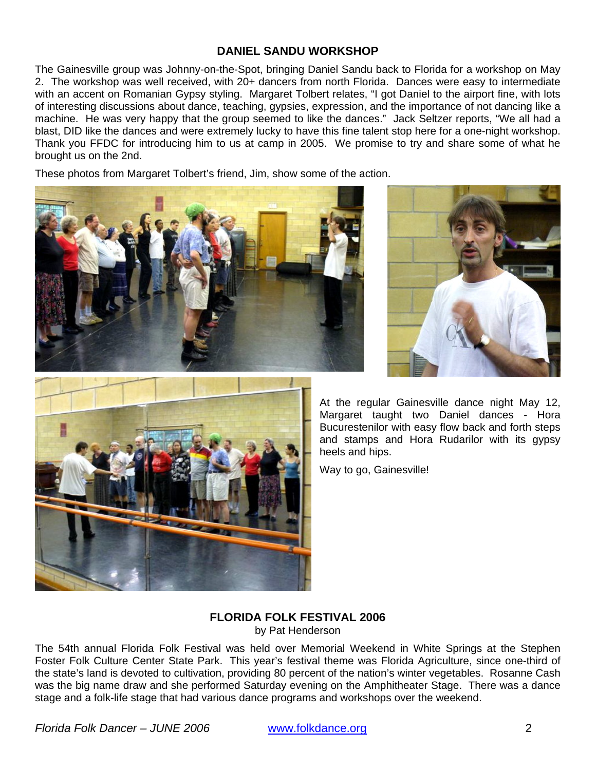## **DANIEL SANDU WORKSHOP**

<span id="page-1-0"></span>The Gainesville group was Johnny-on-the-Spot, bringing Daniel Sandu back to Florida for a workshop on May 2. The workshop was well received, with 20+ dancers from north Florida. Dances were easy to intermediate with an accent on Romanian Gypsy styling. Margaret Tolbert relates, "I got Daniel to the airport fine, with lots of interesting discussions about dance, teaching, gypsies, expression, and the importance of not dancing like a machine. He was very happy that the group seemed to like the dances." Jack Seltzer reports, "We all had a blast, DID like the dances and were extremely lucky to have this fine talent stop here for a one-night workshop. Thank you FFDC for introducing him to us at camp in 2005. We promise to try and share some of what he brought us on the 2nd.

These photos from Margaret Tolbert's friend, Jim, show some of the action.





At the regular Gainesville dance night May 12, Margaret taught two Daniel dances - Hora Bucurestenilor with easy flow back and forth steps and stamps and Hora Rudarilor with its gypsy heels and hips.

Way to go, Gainesville!

# **FLORIDA FOLK FESTIVAL 2006**

by Pat Henderson

The 54th annual Florida Folk Festival was held over Memorial Weekend in White Springs at the Stephen Foster Folk Culture Center State Park. This year's festival theme was Florida Agriculture, since one-third of the state's land is devoted to cultivation, providing 80 percent of the nation's winter vegetables. Rosanne Cash was the big name draw and she performed Saturday evening on the Amphitheater Stage. There was a dance stage and a folk-life stage that had various dance programs and workshops over the weekend.

*Florida Folk Dancer – JUNE 2006* www.folkdance.org 2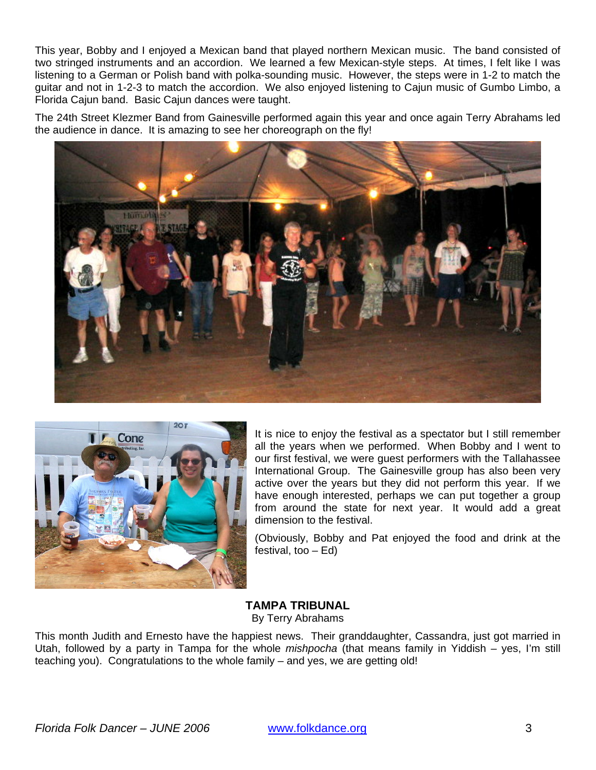<span id="page-2-0"></span>This year, Bobby and I enjoyed a Mexican band that played northern Mexican music. The band consisted of two stringed instruments and an accordion. We learned a few Mexican-style steps. At times, I felt like I was listening to a German or Polish band with polka-sounding music. However, the steps were in 1-2 to match the guitar and not in 1-2-3 to match the accordion. We also enjoyed listening to Cajun music of Gumbo Limbo, a Florida Cajun band. Basic Cajun dances were taught.

The 24th Street Klezmer Band from Gainesville performed again this year and once again Terry Abrahams led the audience in dance. It is amazing to see her choreograph on the fly!





It is nice to enjoy the festival as a spectator but I still remember all the years when we performed. When Bobby and I went to our first festival, we were guest performers with the Tallahassee International Group. The Gainesville group has also been very active over the years but they did not perform this year. If we have enough interested, perhaps we can put together a group from around the state for next year. It would add a great dimension to the festival.

(Obviously, Bobby and Pat enjoyed the food and drink at the festival, too – Ed)

**TAMPA TRIBUNAL**  By Terry Abrahams

This month Judith and Ernesto have the happiest news. Their granddaughter, Cassandra, just got married in Utah, followed by a party in Tampa for the whole *mishpocha* (that means family in Yiddish – yes, I'm still teaching you). Congratulations to the whole family – and yes, we are getting old!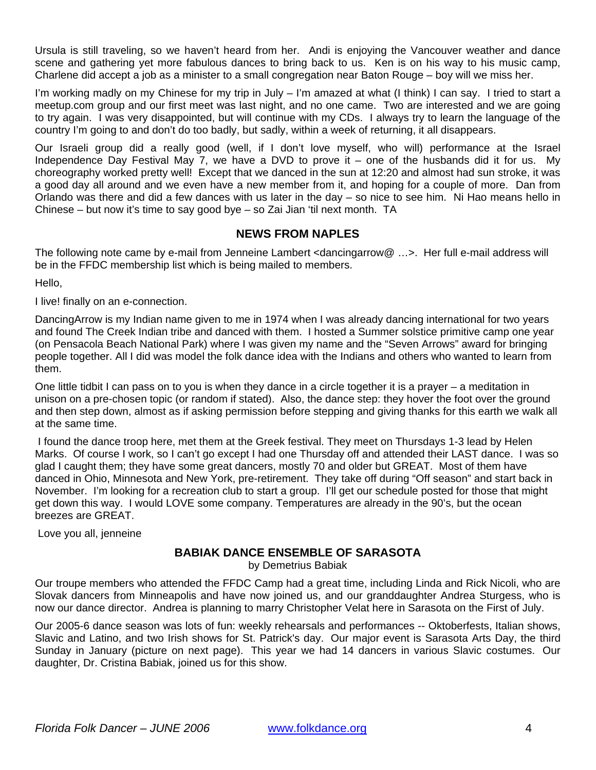<span id="page-3-0"></span>Ursula is still traveling, so we haven't heard from her. Andi is enjoying the Vancouver weather and dance scene and gathering yet more fabulous dances to bring back to us. Ken is on his way to his music camp, Charlene did accept a job as a minister to a small congregation near Baton Rouge – boy will we miss her.

I'm working madly on my Chinese for my trip in July – I'm amazed at what (I think) I can say. I tried to start a meetup.com group and our first meet was last night, and no one came. Two are interested and we are going to try again. I was very disappointed, but will continue with my CDs. I always try to learn the language of the country I'm going to and don't do too badly, but sadly, within a week of returning, it all disappears.

Our Israeli group did a really good (well, if I don't love myself, who will) performance at the Israel Independence Day Festival May 7, we have a DVD to prove it – one of the husbands did it for us. My choreography worked pretty well! Except that we danced in the sun at 12:20 and almost had sun stroke, it was a good day all around and we even have a new member from it, and hoping for a couple of more. Dan from Orlando was there and did a few dances with us later in the day – so nice to see him. Ni Hao means hello in Chinese – but now it's time to say good bye – so Zai Jian 'til next month. TA

## **NEWS FROM NAPLES**

The following note came by e-mail from Jenneine Lambert <dancingarrow@ …>. Her full e-mail address will be in the FFDC membership list which is being mailed to members.

Hello,

I live! finally on an e-connection.

DancingArrow is my Indian name given to me in 1974 when I was already dancing international for two years and found The Creek Indian tribe and danced with them. I hosted a Summer solstice primitive camp one year (on Pensacola Beach National Park) where I was given my name and the "Seven Arrows" award for bringing people together. All I did was model the folk dance idea with the Indians and others who wanted to learn from them.

One little tidbit I can pass on to you is when they dance in a circle together it is a prayer – a meditation in unison on a pre-chosen topic (or random if stated). Also, the dance step: they hover the foot over the ground and then step down, almost as if asking permission before stepping and giving thanks for this earth we walk all at the same time.

 I found the dance troop here, met them at the Greek festival. They meet on Thursdays 1-3 lead by Helen Marks. Of course I work, so I can't go except I had one Thursday off and attended their LAST dance. I was so glad I caught them; they have some great dancers, mostly 70 and older but GREAT. Most of them have danced in Ohio, Minnesota and New York, pre-retirement. They take off during "Off season" and start back in November. I'm looking for a recreation club to start a group. I'll get our schedule posted for those that might get down this way. I would LOVE some company. Temperatures are already in the 90's, but the ocean breezes are GREAT.

Love you all, jenneine

# **BABIAK DANCE ENSEMBLE OF SARASOTA**

by Demetrius Babiak

Our troupe members who attended the FFDC Camp had a great time, including Linda and Rick Nicoli, who are Slovak dancers from Minneapolis and have now joined us, and our granddaughter Andrea Sturgess, who is now our dance director. Andrea is planning to marry Christopher Velat here in Sarasota on the First of July.

Our 2005-6 dance season was lots of fun: weekly rehearsals and performances -- Oktoberfests, Italian shows, Slavic and Latino, and two Irish shows for St. Patrick's day. Our major event is Sarasota Arts Day, the third Sunday in January (picture on next page). This year we had 14 dancers in various Slavic costumes. Our daughter, Dr. Cristina Babiak, joined us for this show.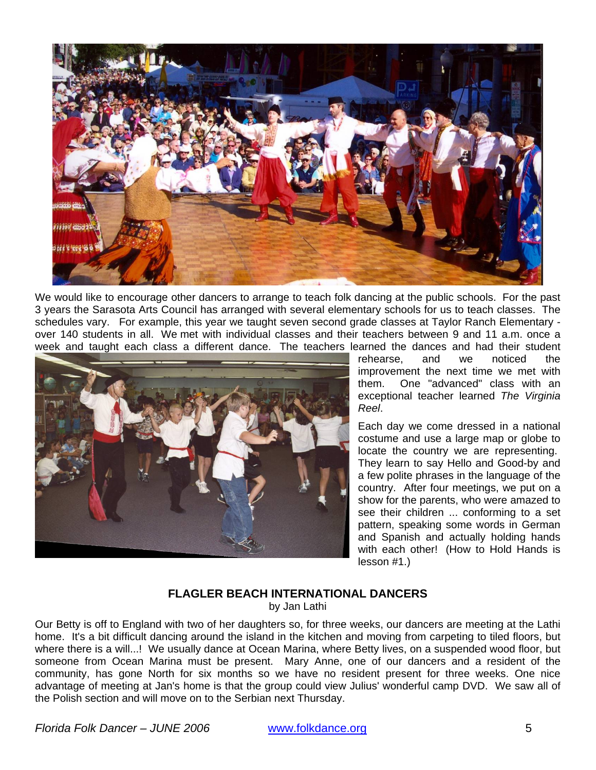<span id="page-4-0"></span>

We would like to encourage other dancers to arrange to teach folk dancing at the public schools. For the past 3 years the Sarasota Arts Council has arranged with several elementary schools for us to teach classes. The schedules vary. For example, this year we taught seven second grade classes at Taylor Ranch Elementary over 140 students in all. We met with individual classes and their teachers between 9 and 11 a.m. once a week and taught each class a different dance. The teachers learned the dances and had their student



rehearse, and we noticed the improvement the next time we met with them. One "advanced" class with an exceptional teacher learned *The Virginia Reel*.

Each day we come dressed in a national costume and use a large map or globe to locate the country we are representing. They learn to say Hello and Good-by and a few polite phrases in the language of the country. After four meetings, we put on a show for the parents, who were amazed to see their children ... conforming to a set pattern, speaking some words in German and Spanish and actually holding hands with each other! (How to Hold Hands is lesson #1.)

#### **FLAGLER BEACH INTERNATIONAL DANCERS**

by Jan Lathi

Our Betty is off to England with two of her daughters so, for three weeks, our dancers are meeting at the Lathi home. It's a bit difficult dancing around the island in the kitchen and moving from carpeting to tiled floors, but where there is a will...! We usually dance at Ocean Marina, where Betty lives, on a suspended wood floor, but someone from Ocean Marina must be present. Mary Anne, one of our dancers and a resident of the community, has gone North for six months so we have no resident present for three weeks. One nice advantage of meeting at Jan's home is that the group could view Julius' wonderful camp DVD. We saw all of the Polish section and will move on to the Serbian next Thursday.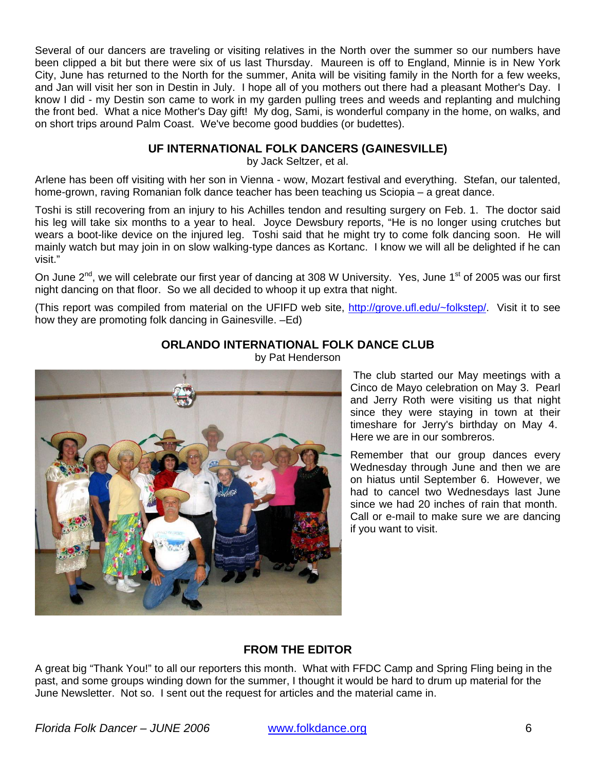<span id="page-5-0"></span>Several of our dancers are traveling or visiting relatives in the North over the summer so our numbers have been clipped a bit but there were six of us last Thursday. Maureen is off to England, Minnie is in New York City, June has returned to the North for the summer, Anita will be visiting family in the North for a few weeks, and Jan will visit her son in Destin in July. I hope all of you mothers out there had a pleasant Mother's Day. I know I did - my Destin son came to work in my garden pulling trees and weeds and replanting and mulching the front bed. What a nice Mother's Day gift! My dog, Sami, is wonderful company in the home, on walks, and on short trips around Palm Coast. We've become good buddies (or budettes).

# **UF INTERNATIONAL FOLK DANCERS (GAINESVILLE)**

by Jack Seltzer, et al.

Arlene has been off visiting with her son in Vienna - wow, Mozart festival and everything. Stefan, our talented, home-grown, raving Romanian folk dance teacher has been teaching us Sciopia – a great dance.

Toshi is still recovering from an injury to his Achilles tendon and resulting surgery on Feb. 1. The doctor said his leg will take six months to a year to heal. Joyce Dewsbury reports, "He is no longer using crutches but wears a boot-like device on the injured leg. Toshi said that he might try to come folk dancing soon. He will mainly watch but may join in on slow walking-type dances as Kortanc. I know we will all be delighted if he can visit."

On June 2<sup>nd</sup>, we will celebrate our first year of dancing at 308 W University. Yes, June 1<sup>st</sup> of 2005 was our first night dancing on that floor. So we all decided to whoop it up extra that night.

(This report was compiled from material on the UFIFD web site, [http://grove.ufl.edu/~folkstep/.](http://grove.ufl.edu/~folkstep/) Visit it to see how they are promoting folk dancing in Gainesville. –Ed)

# **ORLANDO INTERNATIONAL FOLK DANCE CLUB**



by Pat Henderson

The club started our May meetings with a Cinco de Mayo celebration on May 3. Pearl and Jerry Roth were visiting us that night since they were staying in town at their timeshare for Jerry's birthday on May 4. Here we are in our sombreros.

Remember that our group dances every Wednesday through June and then we are on hiatus until September 6. However, we had to cancel two Wednesdays last June since we had 20 inches of rain that month. Call or e-mail to make sure we are dancing if you want to visit.

# **FROM THE EDITOR**

A great big "Thank You!" to all our reporters this month. What with FFDC Camp and Spring Fling being in the past, and some groups winding down for the summer, I thought it would be hard to drum up material for the June Newsletter. Not so. I sent out the request for articles and the material came in.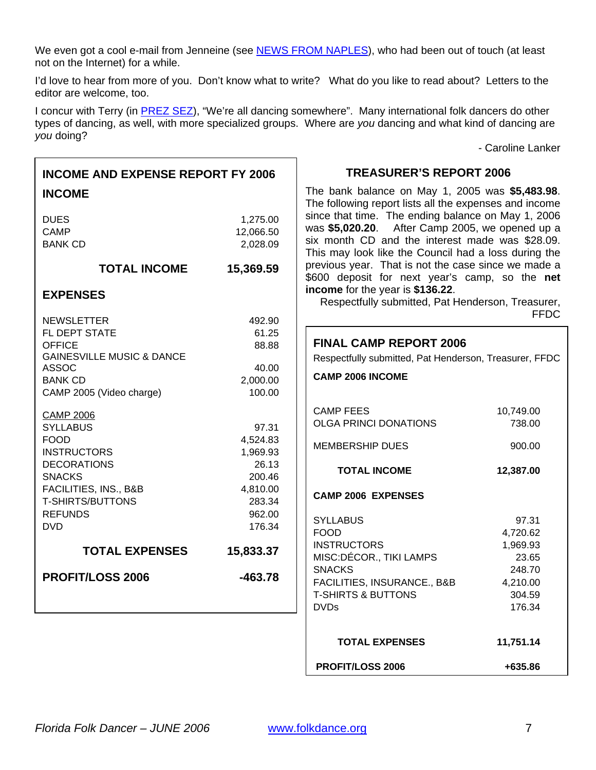<span id="page-6-0"></span>We even got a cool e-mail from Jenneine (see [NEWS FROM NAPLES](#page-3-0)), who had been out of touch (at least not on the Internet) for a while.

I'd love to hear from more of you. Don't know what to write? What do you like to read about? Letters to the editor are welcome, too.

I concur with Terry (in **[PREZ SEZ](#page-0-0)**), "We're all dancing somewhere". Many international folk dancers do other types of dancing, as well, with more specialized groups. Where are *you* dancing and what kind of dancing are *you* doing?

 $\overline{\mathsf{I}}$ 

- Caroline Lanker

| <b>INCOME AND EXPENSE REPORT FY 2006</b>                      |                                   | <b>TREASURER'S REPORT 2006</b>                                                                                                                                                                                                                                        |                   |  |
|---------------------------------------------------------------|-----------------------------------|-----------------------------------------------------------------------------------------------------------------------------------------------------------------------------------------------------------------------------------------------------------------------|-------------------|--|
| <b>INCOME</b><br><b>DUES</b><br><b>CAMP</b><br><b>BANK CD</b> | 1,275.00<br>12,066.50<br>2,028.09 | The bank balance on May 1, 2005 was \$5,483.98.<br>The following report lists all the expenses and income<br>since that time. The ending balance on May 1, 2006<br>was \$5,020.20. After Camp 2005, we opened up a<br>six month CD and the interest made was \$28.09. |                   |  |
| <b>TOTAL INCOME</b>                                           | 15,369.59                         | This may look like the Council had a loss during the<br>previous year. That is not the case since we made a<br>\$600 deposit for next year's camp, so the net                                                                                                         |                   |  |
| <b>EXPENSES</b>                                               |                                   | income for the year is \$136.22.<br>Respectfully submitted, Pat Henderson, Treasurer,                                                                                                                                                                                 | <b>FFDC</b>       |  |
| <b>NEWSLETTER</b><br>FL DEPT STATE                            | 492.90<br>61.25                   |                                                                                                                                                                                                                                                                       |                   |  |
| 88.88<br><b>OFFICE</b>                                        |                                   | <b>FINAL CAMP REPORT 2006</b>                                                                                                                                                                                                                                         |                   |  |
| <b>GAINESVILLE MUSIC &amp; DANCE</b>                          |                                   | Respectfully submitted, Pat Henderson, Treasurer, FFDC                                                                                                                                                                                                                |                   |  |
| <b>ASSOC</b>                                                  | 40.00                             | <b>CAMP 2006 INCOME</b>                                                                                                                                                                                                                                               |                   |  |
| <b>BANK CD</b>                                                | 2,000.00                          |                                                                                                                                                                                                                                                                       |                   |  |
| CAMP 2005 (Video charge)                                      | 100.00                            |                                                                                                                                                                                                                                                                       |                   |  |
| <b>CAMP 2006</b>                                              |                                   | <b>CAMP FEES</b>                                                                                                                                                                                                                                                      | 10,749.00         |  |
| <b>SYLLABUS</b>                                               | 97.31                             | <b>OLGA PRINCI DONATIONS</b>                                                                                                                                                                                                                                          | 738.00            |  |
| <b>FOOD</b>                                                   | 4,524.83                          | <b>MEMBERSHIP DUES</b>                                                                                                                                                                                                                                                | 900.00            |  |
| <b>INSTRUCTORS</b>                                            | 1,969.93                          |                                                                                                                                                                                                                                                                       |                   |  |
| <b>DECORATIONS</b>                                            | 26.13                             | <b>TOTAL INCOME</b>                                                                                                                                                                                                                                                   | 12,387.00         |  |
| <b>SNACKS</b>                                                 | 200.46                            |                                                                                                                                                                                                                                                                       |                   |  |
| FACILITIES, INS., B&B<br><b>T-SHIRTS/BUTTONS</b>              | 4,810.00<br>283.34                | <b>CAMP 2006 EXPENSES</b>                                                                                                                                                                                                                                             |                   |  |
| <b>REFUNDS</b>                                                | 962.00                            |                                                                                                                                                                                                                                                                       |                   |  |
| <b>DVD</b>                                                    | 176.34                            | <b>SYLLABUS</b>                                                                                                                                                                                                                                                       | 97.31             |  |
|                                                               |                                   | <b>FOOD</b>                                                                                                                                                                                                                                                           | 4,720.62          |  |
| <b>TOTAL EXPENSES</b>                                         | 15,833.37                         | <b>INSTRUCTORS</b><br>MISC:DÉCOR., TIKI LAMPS                                                                                                                                                                                                                         | 1,969.93<br>23.65 |  |
|                                                               |                                   | <b>SNACKS</b>                                                                                                                                                                                                                                                         | 248.70            |  |
| <b>PROFIT/LOSS 2006</b>                                       | $-463.78$                         | FACILITIES, INSURANCE., B&B                                                                                                                                                                                                                                           | 4,210.00          |  |
|                                                               |                                   | <b>T-SHIRTS &amp; BUTTONS</b>                                                                                                                                                                                                                                         | 304.59            |  |
|                                                               |                                   | <b>DVDs</b>                                                                                                                                                                                                                                                           | 176.34            |  |
|                                                               |                                   |                                                                                                                                                                                                                                                                       |                   |  |
|                                                               |                                   | <b>TOTAL EXPENSES</b>                                                                                                                                                                                                                                                 | 11,751.14         |  |
|                                                               |                                   | <b>PROFIT/LOSS 2006</b>                                                                                                                                                                                                                                               | +635.86           |  |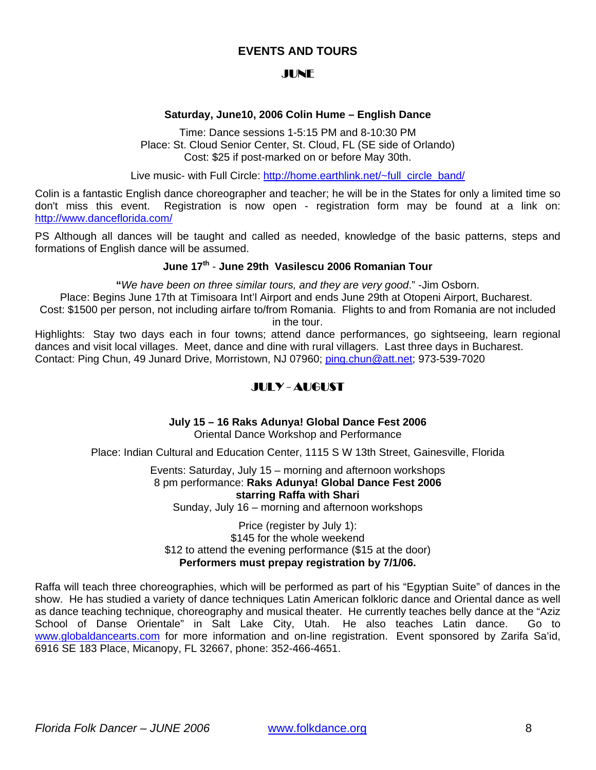## **EVENTS AND TOURS**

#### JUNE

#### **Saturday, June10, 2006 Colin Hume – English Dance**

<span id="page-7-0"></span>Time: Dance sessions 1-5:15 PM and 8-10:30 PM Place: St. Cloud Senior Center, St. Cloud, FL (SE side of Orlando) Cost: \$25 if post-marked on or before May 30th.

Live music- with Full Circle: [http://home.earthlink.net/~full\\_circle\\_band/](http://home.earthlink.net/%7Efull_circle_band/)

Colin is a fantastic English dance choreographer and teacher; he will be in the States for only a limited time so don't miss this event. Registration is now open - registration form may be found at a link on: <http://www.danceflorida.com/>

PS Although all dances will be taught and called as needed, knowledge of the basic patterns, steps and formations of English dance will be assumed.

## **June 17th** - **June 29th Vasilescu 2006 Romanian Tour**

**"***We have been on three similar tours, and they are very good*." -Jim Osborn.

Place: Begins June 17th at Timisoara Int'l Airport and ends June 29th at Otopeni Airport, Bucharest. Cost: \$1500 per person, not including airfare to/from Romania. Flights to and from Romania are not included

in the tour.

Highlights: Stay two days each in four towns; attend dance performances, go sightseeing, learn regional dances and visit local villages. Meet, dance and dine with rural villagers. Last three days in Bucharest. Contact: Ping Chun, 49 Junard Drive, Morristown, NJ 07960; [ping.chun@att.net;](mailto:ping.chun@att.net) 973-539-7020

# JULY - AUGUST

**July 15 – 16 Raks Adunya! Global Dance Fest 2006** 

Oriental Dance Workshop and Performance

Place: Indian Cultural and Education Center, 1115 S W 13th Street, Gainesville, Florida

Events: Saturday, July 15 – morning and afternoon workshops 8 pm performance: **Raks Adunya! Global Dance Fest 2006 starring Raffa with Shari**

Sunday, July 16 – morning and afternoon workshops

Price (register by July 1): \$145 for the whole weekend \$12 to attend the evening performance (\$15 at the door) **Performers must prepay registration by 7/1/06.** 

Raffa will teach three choreographies, which will be performed as part of his "Egyptian Suite" of dances in the show. He has studied a variety of dance techniques Latin American folkloric dance and Oriental dance as well as dance teaching technique, choreography and musical theater. He currently teaches belly dance at the "Aziz School of Danse Orientale" in Salt Lake City, Utah. He also teaches Latin dance. Go to [www.globaldancearts.com](http://www.globaldancearts.com/) for more information and on-line registration. Event sponsored by Zarifa Sa'id, 6916 SE 183 Place, Micanopy, FL 32667, phone: 352-466-4651.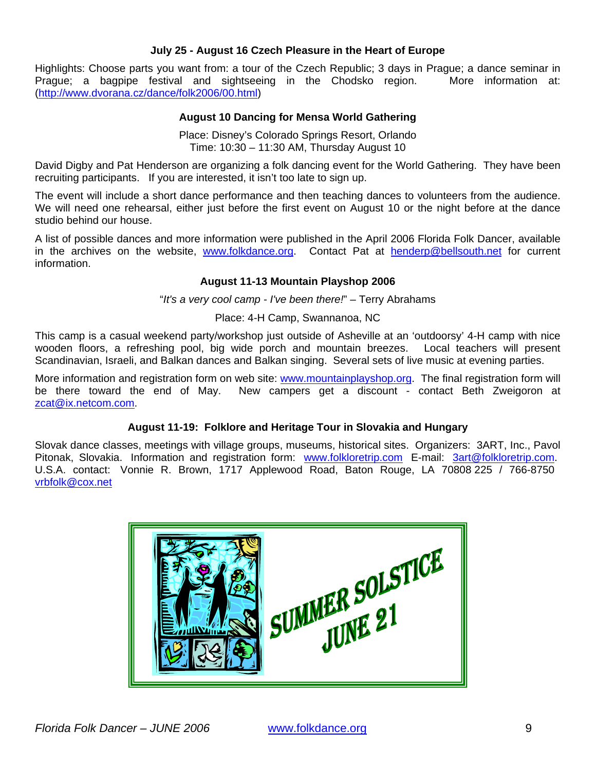#### **July 25 - August 16 Czech Pleasure in the Heart of Europe**

Highlights: Choose parts you want from: a tour of the Czech Republic; 3 days in Prague; a dance seminar in Prague; a bagpipe festival and sightseeing in the Chodsko region. More information at: ([http://www.dvorana.cz/dance/folk2006/00.html\)](http://www.dvorana.cz/dance/folk2006/00.html)

#### **August 10 Dancing for Mensa World Gathering**

Place: Disney's Colorado Springs Resort, Orlando Time: 10:30 – 11:30 AM, Thursday August 10

David Digby and Pat Henderson are organizing a folk dancing event for the World Gathering. They have been recruiting participants. If you are interested, it isn't too late to sign up.

The event will include a short dance performance and then teaching dances to volunteers from the audience. We will need one rehearsal, either just before the first event on August 10 or the night before at the dance studio behind our house.

A list of possible dances and more information were published in the April 2006 Florida Folk Dancer, available in the archives on the website, [www.folkdance.org.](http://www.folkdance.org/) Contact Pat at [henderp@bellsouth.net](mailto:henderp@bellsouth.net) for current information.

#### **August 11-13 Mountain Playshop 2006**

"*It's a very cool camp - I've been there!*" – Terry Abrahams

Place: 4-H Camp, Swannanoa, NC

This camp is a casual weekend party/workshop just outside of Asheville at an 'outdoorsy' 4-H camp with nice wooden floors, a refreshing pool, big wide porch and mountain breezes. Local teachers will present Scandinavian, Israeli, and Balkan dances and Balkan singing. Several sets of live music at evening parties.

More information and registration form on web site: [www.mountainplayshop.org](http://www.mountainplayshop.org/). The final registration form will be there toward the end of May. New campers get a discount - contact Beth Zweigoron at [zcat@ix.netcom.com](mailto:zcat@ix.netcom.com).

#### **August 11-19: Folklore and Heritage Tour in Slovakia and Hungary**

Slovak dance classes, meetings with village groups, museums, historical sites. Organizers: 3ART, Inc., Pavol Pitonak, Slovakia. Information and registration form: [www.folkloretrip.com](http://www.folkloretrip.com/) E-mail: [3art@folkloretrip.com.](mailto:3art@folkloretrip.com) U.S.A. contact: Vonnie R. Brown, 1717 Applewood Road, Baton Rouge, LA 70808 225 / 766-8750 [vrbfolk@cox.net](mailto:vrbfolk@cox.net)